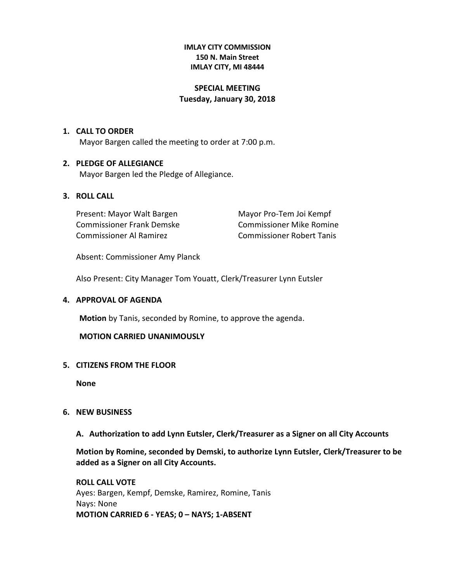#### **IMLAY CITY COMMISSION 150 N. Main Street IMLAY CITY, MI 48444**

## **SPECIAL MEETING Tuesday, January 30, 2018**

#### **1. CALL TO ORDER**

Mayor Bargen called the meeting to order at 7:00 p.m.

## **2. PLEDGE OF ALLEGIANCE**

Mayor Bargen led the Pledge of Allegiance.

## **3. ROLL CALL**

Present: Mayor Walt Bargen Mayor Pro-Tem Joi Kempf Commissioner Frank Demske Commissioner Mike Romine Commissioner Al Ramirez Commissioner Robert Tanis

Absent: Commissioner Amy Planck

Also Present: City Manager Tom Youatt, Clerk/Treasurer Lynn Eutsler

## **4. APPROVAL OF AGENDA**

**Motion** by Tanis, seconded by Romine, to approve the agenda.

#### **MOTION CARRIED UNANIMOUSLY**

## **5. CITIZENS FROM THE FLOOR**

**None** 

## **6. NEW BUSINESS**

**A. Authorization to add Lynn Eutsler, Clerk/Treasurer as a Signer on all City Accounts**

**Motion by Romine, seconded by Demski, to authorize Lynn Eutsler, Clerk/Treasurer to be added as a Signer on all City Accounts.**

**ROLL CALL VOTE** Ayes: Bargen, Kempf, Demske, Ramirez, Romine, Tanis Nays: None **MOTION CARRIED 6 - YEAS; 0 – NAYS; 1-ABSENT**